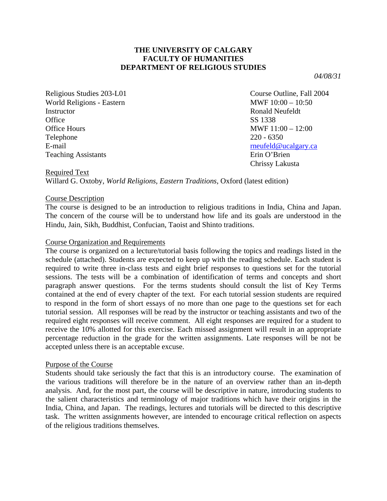## **THE UNIVERSITY OF CALGARY FACULTY OF HUMANITIES DEPARTMENT OF RELIGIOUS STUDIES**

*04/08/31* 

Religious Studies 203-L01 Course Outline, Fall 2004 World Religions - Eastern MWF 10:00 – 10:50 Instructor Ronald Neufeldt Office SS 1338 Office Hours MWF 11:00 – 12:00 Telephone 220 - 6350 E-mail results and the contract of the contract of the contract of the contract of the contract of the contract of the contract of the contract of the contract of the contract of the contract of the contract of the contrac Teaching Assistants **Example 2018** Erin O'Brien

Chrissy Lakusta

Required Text

Willard G. Oxtoby, *World Religions, Eastern Traditions*, Oxford (latest edition)

#### Course Description

The course is designed to be an introduction to religious traditions in India, China and Japan. The concern of the course will be to understand how life and its goals are understood in the Hindu, Jain, Sikh, Buddhist, Confucian, Taoist and Shinto traditions.

#### Course Organization and Requirements

The course is organized on a lecture/tutorial basis following the topics and readings listed in the schedule (attached). Students are expected to keep up with the reading schedule. Each student is required to write three in-class tests and eight brief responses to questions set for the tutorial sessions. The tests will be a combination of identification of terms and concepts and short paragraph answer questions. For the terms students should consult the list of Key Terms contained at the end of every chapter of the text. For each tutorial session students are required to respond in the form of short essays of no more than one page to the questions set for each tutorial session. All responses will be read by the instructor or teaching assistants and two of the required eight responses will receive comment. All eight responses are required for a student to receive the 10% allotted for this exercise. Each missed assignment will result in an appropriate percentage reduction in the grade for the written assignments. Late responses will be not be accepted unless there is an acceptable excuse.

#### Purpose of the Course

Students should take seriously the fact that this is an introductory course. The examination of the various traditions will therefore be in the nature of an overview rather than an in-depth analysis. And, for the most part, the course will be descriptive in nature, introducing students to the salient characteristics and terminology of major traditions which have their origins in the India, China, and Japan. The readings, lectures and tutorials will be directed to this descriptive task. The written assignments however, are intended to encourage critical reflection on aspects of the religious traditions themselves.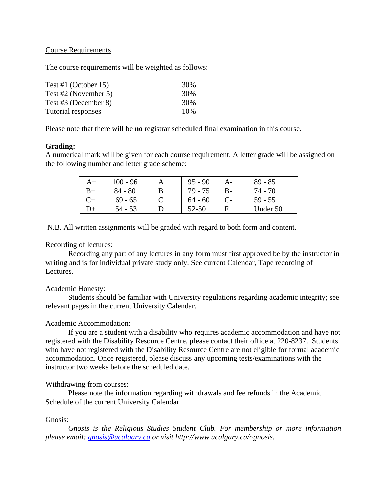## Course Requirements

The course requirements will be weighted as follows:

| Test #1 (October 15) | 30% |
|----------------------|-----|
| Test #2 (November 5) | 30% |
| Test #3 (December 8) | 30% |
| Tutorial responses   | 10% |

Please note that there will be **no** registrar scheduled final examination in this course.

## **Grading:**

A numerical mark will be given for each course requirement. A letter grade will be assigned on the following number and letter grade scheme:

|        | $100 - 96$ | $95 - 90$ | $A -$ | $89 - 85$ |
|--------|------------|-----------|-------|-----------|
|        | $84 - 80$  | 79 - 75   | $B -$ | 74 - 70   |
|        | $69 - 65$  | $64 - 60$ |       | $59 - 55$ |
| $^{+}$ | 54 - 53    | 52-50     |       | Under 50  |

N.B. All written assignments will be graded with regard to both form and content.

### Recording of lectures:

 Recording any part of any lectures in any form must first approved be by the instructor in writing and is for individual private study only. See current Calendar, Tape recording of Lectures.

### Academic Honesty:

 Students should be familiar with University regulations regarding academic integrity; see relevant pages in the current University Calendar.

# Academic Accommodation:

 If you are a student with a disability who requires academic accommodation and have not registered with the Disability Resource Centre, please contact their office at 220-8237. Students who have not registered with the Disability Resource Centre are not eligible for formal academic accommodation. Once registered, please discuss any upcoming tests/examinations with the instructor two weeks before the scheduled date.

# Withdrawing from courses:

 Please note the information regarding withdrawals and fee refunds in the Academic Schedule of the current University Calendar.

### Gnosis:

 *Gnosis is the Religious Studies Student Club. For membership or more information please email: [gnosis@ucalgary.ca](mailto:gnosis@ucalgary.ca) or visit http://www.ucalgary.ca/~gnosis.*